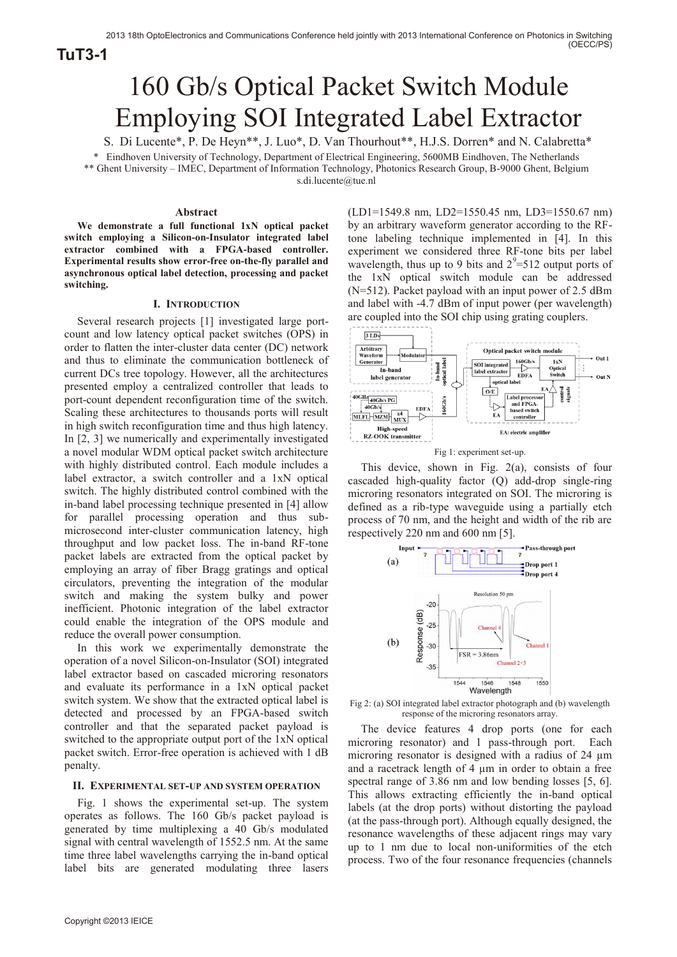**TuT3-1**

# 160 Gb/s Optical Packet Switch Module Employing SOI Integrated Label Extractor

S. Di Lucente\*, P. De Heyn\*\*, J. Luo\*, D. Van Thourhout\*\*, H.J.S. Dorren\* and N. Calabretta\*

\* Eindhoven University of Technology, Department of Electrical Engineering, 5600MB Eindhoven, The Netherlands \*\* Ghent University – IMEC, Department of Information Technology, Photonics Research Group, B-9000 Ghent, Belgium s.di.lucente@tue.nl

## **Abstract**

**We demonstrate a full functional 1xN optical packet switch employing a Silicon-on-Insulator integrated label extractor combined with a FPGA-based controller. Experimental results show error-free on-the-fly parallel and asynchronous optical label detection, processing and packet switching.** 

# **I. INTRODUCTION**

Several research projects [1] investigated large portcount and low latency optical packet switches (OPS) in order to flatten the inter-cluster data center (DC) network and thus to eliminate the communication bottleneck of current DCs tree topology. However, all the architectures presented employ a centralized controller that leads to port-count dependent reconfiguration time of the switch. Scaling these architectures to thousands ports will result in high switch reconfiguration time and thus high latency. In [2, 3] we numerically and experimentally investigated a novel modular WDM optical packet switch architecture with highly distributed control. Each module includes a label extractor, a switch controller and a 1xN optical switch. The highly distributed control combined with the in-band label processing technique presented in [4] allow for parallel processing operation and thus submicrosecond inter-cluster communication latency, high throughput and low packet loss. The in-band RF-tone packet labels are extracted from the optical packet by employing an array of fiber Bragg gratings and optical circulators, preventing the integration of the modular switch and making the system bulky and power inefficient. Photonic integration of the label extractor could enable the integration of the OPS module and reduce the overall power consumption.

In this work we experimentally demonstrate the operation of a novel Silicon-on-Insulator (SOI) integrated label extractor based on cascaded microring resonators and evaluate its performance in a 1xN optical packet switch system. We show that the extracted optical label is detected and processed by an FPGA-based switch controller and that the separated packet payload is switched to the appropriate output port of the 1xN optical packet switch. Error-free operation is achieved with 1 dB penalty.

### **II. EXPERIMENTAL SET-UP AND SYSTEM OPERATION**

Fig. 1 shows the experimental set-up. The system operates as follows. The 160 Gb/s packet payload is generated by time multiplexing a 40 Gb/s modulated signal with central wavelength of 1552.5 nm. At the same time three label wavelengths carrying the in-band optical label bits are generated modulating three lasers

(LD1=1549.8 nm, LD2=1550.45 nm, LD3=1550.67 nm) by an arbitrary waveform generator according to the RFtone labeling technique implemented in [4]. In this experiment we considered three RF-tone bits per label wavelength, thus up to 9 bits and  $2^{9} = 512$  output ports of the 1xN optical switch module can be addressed (N=512). Packet payload with an input power of 2.5 dBm and label with -4.7 dBm of input power (per wavelength) are coupled into the SOI chip using grating couplers.



Fig 1: experiment set-up.

This device, shown in Fig. 2(a), consists of four cascaded high-quality factor (Q) add-drop single-ring microring resonators integrated on SOI. The microring is defined as a rib-type waveguide using a partially etch process of 70 nm, and the height and width of the rib are respectively 220 nm and 600 nm [5].



Fig 2: (a) SOI integrated label extractor photograph and (b) wavelength response of the microring resonators array.

The device features 4 drop ports (one for each microring resonator) and 1 pass-through port. Each microring resonator is designed with a radius of 24  $\mu$ m and a racetrack length of 4  $\mu$ m in order to obtain a free spectral range of 3.86 nm and low bending losses [5, 6]. This allows extracting efficiently the in-band optical labels (at the drop ports) without distorting the payload (at the pass-through port). Although equally designed, the resonance wavelengths of these adjacent rings may vary up to 1 nm due to local non-uniformities of the etch process. Two of the four resonance frequencies (channels